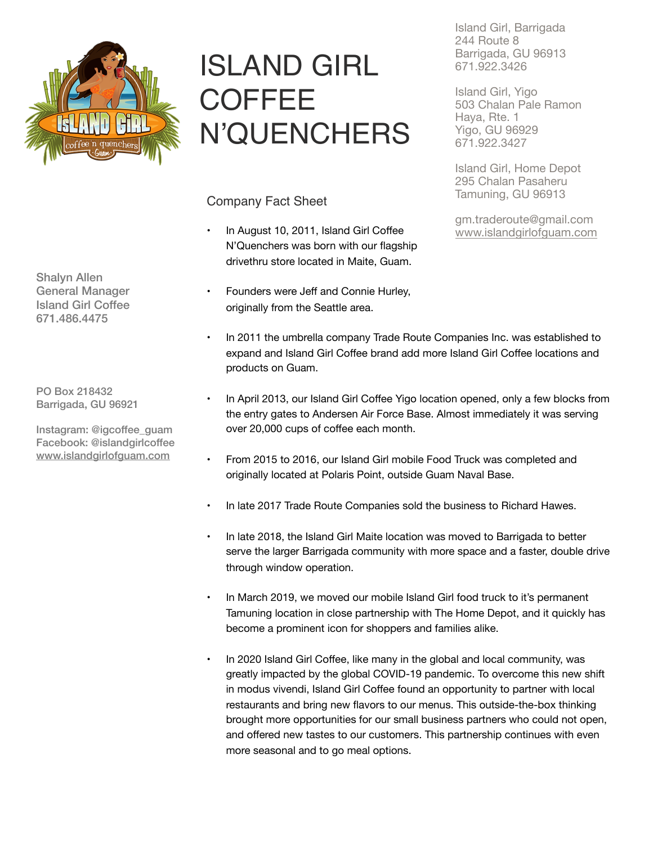

ISLAND GIRL **COFFEE** N'QUENCHERS

Company Fact Sheet

- In August 10, 2011, Island Girl Coffee N'Quenchers was born with our flagship drivethru store located in Maite, Guam.
- Founders were Jeff and Connie Hurley, originally from the Seattle area.

Island Girl, Barrigada 244 Route 8 Barrigada, GU 96913 671.922.3426

Island Girl, Yigo 503 Chalan Pale Ramon Haya, Rte. 1 Yigo, GU 96929 671.922.3427

Island Girl, Home Depot 295 Chalan Pasaheru Tamuning, GU 96913

gm.traderoute@gmail.com [www.islandgirlofguam.com](http://www.islandgirlofguam.com)

- In 2011 the umbrella company Trade Route Companies Inc. was established to expand and Island Girl Coffee brand add more Island Girl Coffee locations and products on Guam.
- In April 2013, our Island Girl Coffee Yigo location opened, only a few blocks from the entry gates to Andersen Air Force Base. Almost immediately it was serving over 20,000 cups of coffee each month.
- From 2015 to 2016, our Island Girl mobile Food Truck was completed and originally located at Polaris Point, outside Guam Naval Base.
- In late 2017 Trade Route Companies sold the business to Richard Hawes.
- In late 2018, the Island Girl Maite location was moved to Barrigada to better serve the larger Barrigada community with more space and a faster, double drive through window operation.
- In March 2019, we moved our mobile Island Girl food truck to it's permanent Tamuning location in close partnership with The Home Depot, and it quickly has become a prominent icon for shoppers and families alike.
- In 2020 Island Girl Coffee, like many in the global and local community, was greatly impacted by the global COVID-19 pandemic. To overcome this new shift in modus vivendi, Island Girl Coffee found an opportunity to partner with local restaurants and bring new flavors to our menus. This outside-the-box thinking brought more opportunities for our small business partners who could not open, and offered new tastes to our customers. This partnership continues with even more seasonal and to go meal options.

Shalyn Allen General Manager Island Girl Coffee 671.486.4475

PO Box 218432 Barrigada, GU 96921

Instagram: @igcoffee\_guam Facebook: @islandgirlcoffee [www.islandgirlofguam.com](http://www.islandgirlofguam.com)